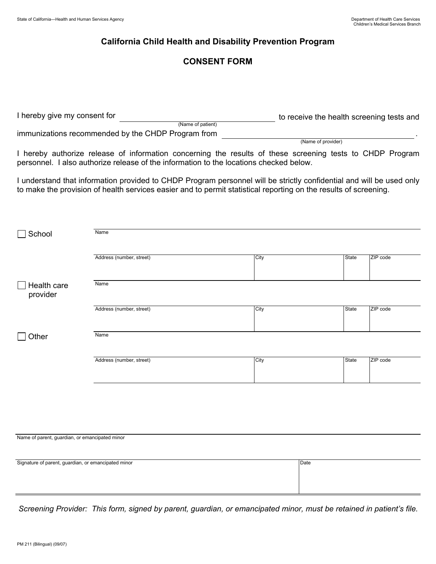## **California Child Health and Disability Prevention Program**

## **CONSENT FORM**

| I hereby give my consent for                       | to receive the health screening tests and |
|----------------------------------------------------|-------------------------------------------|
| (Name of patient)                                  |                                           |
| immunizations recommended by the CHDP Program from |                                           |
|                                                    | (Name of provider)                        |

I hereby authorize release of information concerning the results of these screening tests to CHDP Program personnel. I also authorize release of the information to the locations checked below.

I understand that information provided to CHDP Program personnel will be strictly confidential and will be used only to make the provision of health services easier and to permit statistical reporting on the results of screening.

| School                                              | Name                     |      |              |          |
|-----------------------------------------------------|--------------------------|------|--------------|----------|
|                                                     | Address (number, street) | City | State        | ZIP code |
| Health care<br>provider                             | Name                     |      |              |          |
|                                                     | Address (number, street) | City | <b>State</b> | ZIP code |
| Other                                               | Name                     |      |              |          |
|                                                     | Address (number, street) | City | State        | ZIP code |
|                                                     |                          |      |              |          |
|                                                     |                          |      |              |          |
| Name of parent, guardian, or emancipated minor      |                          |      |              |          |
| Signature of parent, guardian, or emancipated minor |                          | Date |              |          |

*Screening Provider: This form, signed by parent, guardian, or emancipated minor, must be retained in patient's file.*